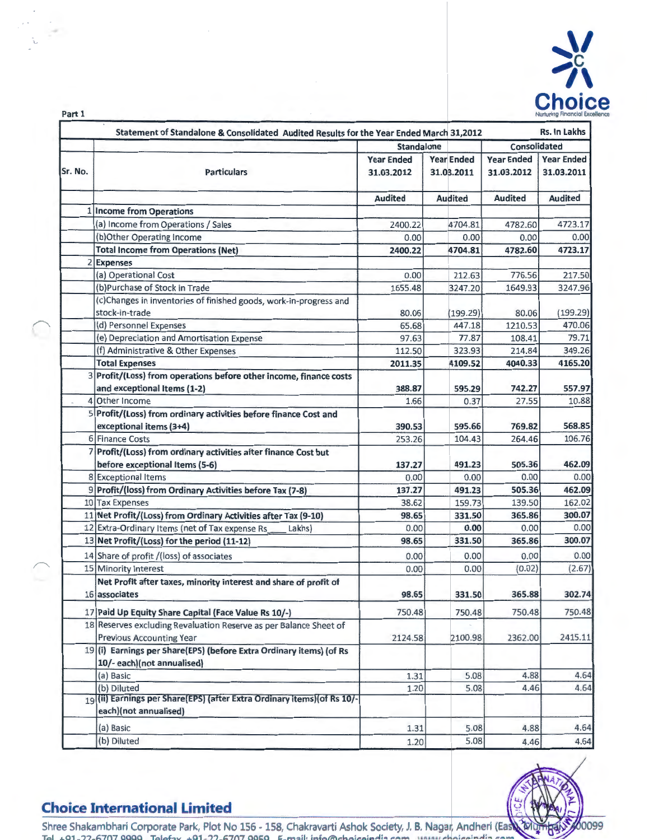

|         | Statement of Standalone & Consolidated Audited Results for the Year Ended March 31,2012 |                                 |                                 |                                 | Rs. In Lakhs                    |
|---------|-----------------------------------------------------------------------------------------|---------------------------------|---------------------------------|---------------------------------|---------------------------------|
|         |                                                                                         | <b>Standalone</b>               |                                 | Consolidated                    |                                 |
| Sr. No. | <b>Particulars</b>                                                                      | <b>Year Ended</b><br>31.03.2012 | <b>Year Ended</b><br>31.03.2011 | <b>Year Ended</b><br>31.03.2012 | <b>Year Ended</b><br>31.03.2011 |
|         |                                                                                         | <b>Audited</b>                  | <b>Audited</b>                  | <b>Audited</b>                  | <b>Audited</b>                  |
|         | 1 Income from Operations                                                                |                                 |                                 |                                 |                                 |
|         | (a) Income from Operations / Sales                                                      | 2400.22                         | 4704.81                         | 4782.60                         | 4723.17                         |
|         | (b) Other Operating Income                                                              | 0.00                            | 0.00                            | 0.00                            | 0.00                            |
|         | <b>Total Income from Operations (Net)</b>                                               | 2400.22                         | 4704.81                         | 4782.60                         | 4723.17                         |
|         | 2 Expenses                                                                              |                                 |                                 |                                 |                                 |
|         | (a) Operational Cost                                                                    | 0.00                            | 212.63                          | 776.56                          | 217.50                          |
|         | (b)Purchase of Stock in Trade                                                           | 1655.48                         | 3247.20                         | 1649.93                         | 3247.96                         |
|         | (c)Changes in inventories of finished goods, work-in-progress and                       |                                 |                                 |                                 |                                 |
|         | stock-in-trade                                                                          | 80.06                           | (199.29)                        | 80.06                           | (199.29)                        |
|         | (d) Personnel Expenses                                                                  | 65.68                           | 447.18                          | 1210.53                         | 470.06                          |
|         | (e) Depreciation and Amortisation Expense                                               | 97.63                           | 77.87                           | 108.41                          | 79.71                           |
|         | (f) Administrative & Other Expenses                                                     | 112.50                          | 323.93                          | 214.84                          | 349.26                          |
|         | <b>Total Expenses</b>                                                                   | 2011.35                         | 4109.52                         | 4040.33                         | 4165.20                         |
|         | 3 Profit/(Loss) from operations before other income, finance costs                      |                                 |                                 |                                 |                                 |
|         | and exceptional Items (1-2)                                                             | 388.87                          | 595.29                          | 742.27                          | 557.97                          |
|         | 4 Other Income                                                                          | 1.66                            | 0.37                            | 27.55                           | 10.88                           |
|         | 5 Profit/(Loss) from ordinary activities before finance Cost and                        |                                 |                                 |                                 |                                 |
|         | exceptional items (3+4)                                                                 | 390.53                          | 595.66                          | 769.82                          | 568.85                          |
|         | 6 Finance Costs                                                                         | 253.26                          | 104.43                          | 264.46                          | 106.76                          |
|         | Profit/(Loss) from ordinary activities after finance Cost but                           |                                 |                                 |                                 |                                 |
|         | before exceptional Items (5-6)                                                          | 137.27                          | 491.23                          | 505.36                          | 462.09                          |
|         | 8 Exceptional Items                                                                     | 0.00                            | 0.00                            | 0.00                            | 0.00                            |
|         | 9 Profit/(loss) from Ordinary Activities before Tax (7-8)                               | 137.27                          | 491.23                          | 505.36                          | 462.09                          |
|         | 10 Tax Expenses                                                                         | 38.62                           | 159.73                          | 139.50                          | 162.02                          |
|         | 11 Net Profit/(Loss) from Ordinary Activities after Tax (9-10)                          | 98.65                           | 331.50                          | 365.86                          | 300.07                          |
|         | 12 Extra-Ordinary Items (net of Tax expense Rs<br>Lakhs)                                | 0.00                            | 0.00                            | 0.00                            | 0.00                            |
|         | 13 Net Profit/(Loss) for the period (11-12)                                             | 98.65                           | 331.50                          | 365.86                          | 300.07                          |
|         |                                                                                         |                                 |                                 |                                 |                                 |
|         | 14 Share of profit /(loss) of associates                                                | 0.00                            | 0.00                            | 0.00                            | 0.00                            |
|         | 15 Minority Interest                                                                    | 0.00                            | 0.00                            | (0.02)                          | (2.67)                          |
|         | Net Profit after taxes, minority interest and share of profit of                        |                                 |                                 |                                 |                                 |
|         | 16 associates                                                                           | 98.65                           | 331.50                          | 365.88                          | 302.74                          |
|         | 17 Paid Up Equity Share Capital (Face Value Rs 10/-)                                    | 750.48                          | 750.48                          | 750.48                          | 750.48                          |
|         | 18 Reserves excluding Revaluation Reserve as per Balance Sheet of                       |                                 |                                 |                                 |                                 |
|         | <b>Previous Accounting Year</b>                                                         | 2124.58                         | 2100.98                         | 2362.00                         | 2415.11                         |
|         | 19 (i) Earnings per Share(EPS) (before Extra Ordinary items) (of Rs                     |                                 |                                 |                                 |                                 |
|         | 10/- each)(not annualised)                                                              |                                 |                                 |                                 |                                 |
|         | (a) Basic                                                                               | 1.31                            | 5.08                            | 4.88                            | 4.64                            |
|         | (b) Diluted                                                                             | 1.20                            | 5.08                            | 4.46                            | 4.64                            |
|         | 19(ii) Earnings per Share(EPS) (after Extra Ordinary items) (of Rs 10/-                 |                                 |                                 |                                 |                                 |
|         | each)(not annualised)                                                                   |                                 |                                 |                                 |                                 |
|         | (a) Basic                                                                               | 1.31                            | 5.08                            | 4.88                            | 4.64                            |
|         |                                                                                         |                                 |                                 |                                 |                                 |



## **Choice International Limited**

..

博 Shree Shakambhari Corporate Park, Plot No 156 - 158, Chakravarti Ashok Society, J. B. Nagar, Andheri (East  $T_{\odot}$  +Q1-22-6707 QQQQ  $T_{\odot}$  to  $+01-22-6707$  QQSQ  $F_{\odot}$  mail: info@choicaindia com ... unuu choicaindia cam

(b) Diluted 4.64 4.64 4.64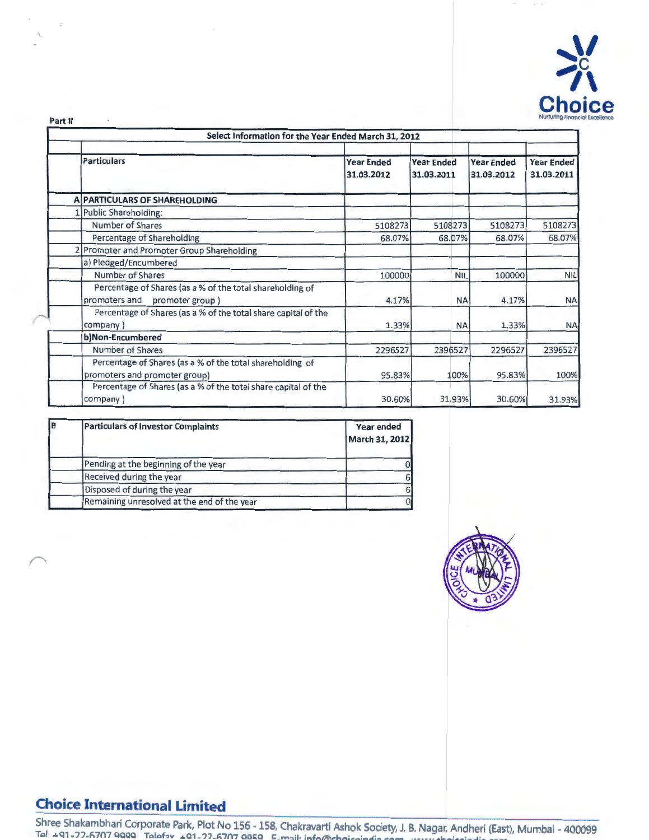

Part II

| Select Information for the Year Ended March 31, 2012                                          |                                 |                                 |                                 |                                 |
|-----------------------------------------------------------------------------------------------|---------------------------------|---------------------------------|---------------------------------|---------------------------------|
| <b>Particulars</b>                                                                            | <b>Year Ended</b><br>31.03.2012 | <b>Year Ended</b><br>31.03.2011 | <b>Year Ended</b><br>31.03.2012 | <b>Year Ended</b><br>31.03.2011 |
| <b>A PARTICULARS OF SHAREHOLDING</b>                                                          |                                 |                                 |                                 |                                 |
| 1 Public Shareholding:                                                                        |                                 |                                 |                                 |                                 |
| Number of Shares                                                                              | 5108273                         | 5108273                         | 5108273                         | 5108273                         |
| Percentage of Shareholding                                                                    | 68.07%                          | 68.07%                          | 68.07%                          | 68.07%                          |
| 2 Promoter and Promoter Group Shareholding                                                    |                                 |                                 |                                 |                                 |
| a) Pledged/Encumbered                                                                         |                                 |                                 |                                 |                                 |
| Number of Shares                                                                              | 100000                          | <b>NIL</b>                      | 100000                          | <b>NIL</b>                      |
| Percentage of Shares (as a % of the total shareholding of<br>promoters and<br>promoter group) | 4.17%                           | <b>NA</b>                       | 4.17%                           | <b>NA</b>                       |
| Percentage of Shares (as a % of the total share capital of the<br>company)                    | 1.33%                           | <b>NA</b>                       | 1.33%                           | <b>NA</b>                       |
| b)Non-Encumbered                                                                              |                                 |                                 |                                 |                                 |
| Number of Shares                                                                              | 2296527                         | 2396527                         | 2296527                         | 2396527                         |
| Percentage of Shares (as a % of the total shareholding of<br>promoters and promoter group)    | 95.83%                          | 100%                            | 95.83%                          | 100%                            |
| Percentage of Shares (as a % of the total share capital of the<br>company)                    | 30.60%                          | 31.93%                          | 30.60%                          | 31.93%                          |

| <b>IB</b> | <b>Particulars of Investor Complaints</b>   | Year ended<br>March 31, 2012 |
|-----------|---------------------------------------------|------------------------------|
|           | Pending at the beginning of the year        |                              |
|           | Received during the year                    |                              |
|           | Disposed of during the year                 | 6                            |
|           | Remaining unresolved at the end of the year |                              |



## **Choice International Limited**

Shree Shakambhari Corporate Park, Plot No 156 - 158, Chakravarti Ashok Society, J. B. Nagar, Andheri (East), Mumbai - 400099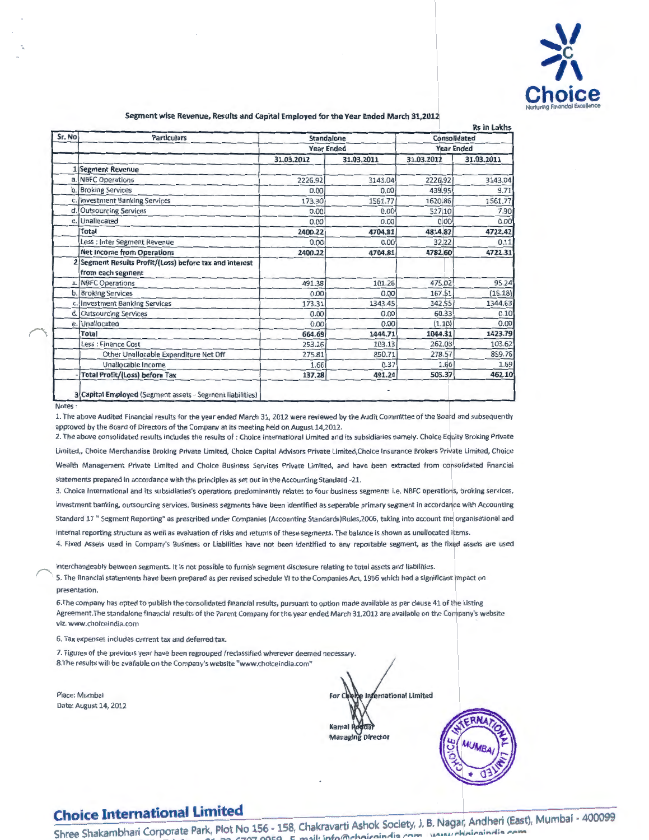

#### **Segment wise Revenue, Results and Capital Employed for the Year Ended March** 31,201~

| Sr. No | <b>Particulars</b>                                                           | Standalone        |            | Consolidated      |            |  |
|--------|------------------------------------------------------------------------------|-------------------|------------|-------------------|------------|--|
|        |                                                                              | <b>Year Ended</b> |            | <b>Year Ended</b> |            |  |
|        |                                                                              | 31.03.2012        | 31.03.2011 | 31.03.2012        | 31.03.2011 |  |
|        | 1 Segment Revenue                                                            |                   |            |                   |            |  |
|        | a. NBFC Operations                                                           | 2226.92           | 3143.04    | 2226.92           | 3143.04    |  |
|        | b. Broking Services                                                          | 0.00              | 0.00       | 439.95            | 9.71       |  |
|        | c. Investment Banking Services                                               | 173.30            | 1561.77    | 1620.86           | 1561.77    |  |
| d.     | <b>Outsourcing Services</b>                                                  | 0.00              | 0.00       | 527,10            | 7.90       |  |
|        | e. Unallocated                                                               | 0.00              | 0.00       | 0.00              | 0.00       |  |
|        | <b>Total</b>                                                                 | 2400.22           | 4704.81    | 4814.82           | 4722.42    |  |
|        | Less : Inter Segment Revenue                                                 | 0.00              | 0.00       | 32.22             | 0.11       |  |
|        | <b>Net Income from Operations</b>                                            | 2400.22           | 4704.81    | 4782.60           | 4722.31    |  |
|        | 2 Segment Results Profit/(Loss) before tax and interest<br>from each segment |                   |            |                   |            |  |
|        | a. NBFC Operations                                                           | 491.38            | 101.26     | 475.02            | 95.24      |  |
| b.     | <b>Broking Services</b>                                                      | 0.00              | 0.00       | 167.51            | (16.18)    |  |
|        | c. Investment Banking Services                                               | 173.31            | 1343.45    | 342.55            | 1344.63    |  |
| d.     | <b>Outsourcing Services</b>                                                  | 0.00              | 0.00       | 60.33             | 0.10       |  |
| e.     | Unallocated                                                                  | 0.00              | 0.00       | (1.10)            | 0.00       |  |
|        | <b>Total</b>                                                                 | 664.69            | 1444.71    | 1044.31           | 1423.79    |  |
|        | Less : Finance Cost                                                          | 253.26            | 103.13     | 262.03            | 103.62     |  |
|        | Other Unallocable Expenditure Net Off                                        | 275.81            | 850.71     | 278.57            | 859.76     |  |
|        | Unallocable Income                                                           | 1.66              | 0.37       | 1.66              | 1.69       |  |
|        | <b>Total Profit/(Loss) before Tax</b>                                        | 137.28            | 491.24     | 505.37            | 462.10     |  |
| Notes: | 3 Capital Employed (Segment assets - Segment liabilities)                    |                   |            |                   |            |  |

1. The above Audited Financial results for the year ended March 31, 2012 were reviewed by the Audit Committee of the Board and subsequently approved by the Board of Directors of the Company at its meeting held on August 14,2012.

2. The above consolidated results includes the results of : Choice International Limited and its subsidiaries namely: Choice Equity Broking Private Limited, Choice Merchandise Broking Private Limited, Choice Capital Advisors Private Limited,Choice Insurance Brokers Private Limited, Choice Wealth Management Private Limited and Choice Business Services Private Limited, and have been extracted from consolidated financial statements prepared in accordance with the principles as set out in the Accounting Standard -21.

3. Choice International and its subsidiaries's operations predominantly relates to four business segments i.e. NBFC operations, broking services, investment banking, outsourcing services. Business segments have been identified as seperable primary segment in accordance with Accounting

Standard 17 " Segment Reporting" as prescribed under Companies (Accounting Standards)Rules,2006, taking into account the organisational and internal reporting structure as well as evaluation of risks and returns of these segments. The balance is shown as unallocated items.

4. Fixed Assets used in Company's Business or Liabilities have not been identified to any reportable segment, as the fixed assets are used

mterchangeably between segments. It is not possible to furnish segment disclosure relating to total assets and liabilities. 5. The financial statements have been prepared as per revised schedule VI to the Companies Act, 1956 which had a significant impact on

6.The company has opted to publish the consolidated financial results, pursuant to option made available as per clause 41 of the Listing Agreement. The standalone financial results of the Parent Company for the year ended March 31,2012 are available on the Company's website viz. www.choiceindia.com

6. Tax expenses includes cu rrent tax and deferred tax.

7. Figures of the previous year have been regrouped /reclassified wherever deemed necessary. 8. The results will be available on the Company's website "www.choiceindia.com"

Place: Mumbai Date: August 14, 2012

presentation.

International Limited Kamal **Managing Director** 

# **Choice International Limited**

Choice International Limited<br>Shree Shakambhari Corporate Park, Plot No 156 - 158, Chakravarti Ashok Society, J. B. Nagar, Andheri (East), Mumbai - 400099